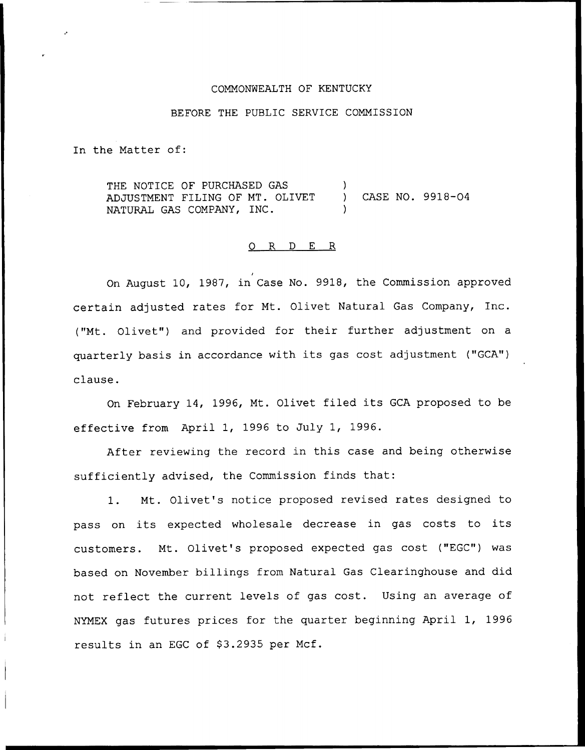## COMMONNEALTH OF KENTUCKY

### BEFORE THE PUBLIC SERVICE COMMISSION

In the Matter of:

THE NOTICE OF PURCHASED GAS ADJUSTMENT FILING OF MT. OLIVET NATURAL GAS COMPANY, INC. ) ) CASE NO. 9918-04 )

#### 0 R <sup>D</sup> E R

On August 10, 1987, in Case No. 9918, the Commission approve certain adjusted rates for Mt. Olivet Natural Gas Company, Inc. ("Mt. Olivet") and provided for their further adjustment on a quarterly basis in accordance with its gas cost adjustment ("GCA") clause.

On February 14, 1996, Mt. Olivet filed its GCA proposed to be effective from April 1, 1996 to July 1, 1996.

After reviewing the record in this case and being otherwise sufficiently advised, the Commission finds that:

1. Mt. Olivet's notice proposed revised rates designed to pass on its expected wholesale decrease in gas costs to its customers. Mt. Olivet's proposed expected gas cost ("EGC") was based on November billings from Natural Gas Clearinghouse and did not reflect the current levels of gas cost. Using an average of NYMEX gas futures prices for the quarter beginning April 1, 1996 results in an EGC of \$3.2935 per Mcf.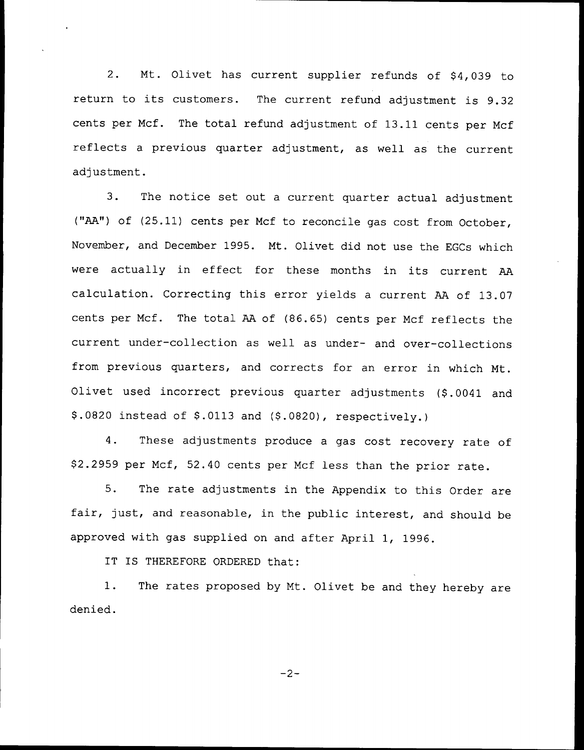2. Mt. Olivet has current supplier refunds of \$4,039 to return to its customers. The current refund adjustment is 9.32 cents per Mcf. The total refund adjustment of 13.11 cents per Mcf reflects <sup>a</sup> previous quarter adjustment, as well as the current adjustment.

3. The notice set out <sup>a</sup> current quarter actual adjustment ("AA") of (25.11) cents per Mcf to reconcile gas cost from October, November, and December 1995. Mt. Olivet did not use the EGCs which were actually in effect for these months in its current AA calculation. Correcting this error yields <sup>a</sup> current AA of 13.07 cents per Mcf. The total AA of (86.65) cents per Mcf reflects the current under-collection as well as under- and over-collections from previous quarters, and corrects for an error in which Mt. Olivet used incorrect previous quarter adjustments (\$.0041 and  $$.0820$  instead of  $$.0113$  and  $$.0820$ , respectively.)

4. These adjustments produce <sup>a</sup> gas cost recovery rate of 92.2959 per Mcf, 52.40 cents per Mcf less than the prior rate.

5. The rate adjustments in the Appendix to this Order are fair, just, and reasonable, in the public interest, and should be approved with gas supplied on and after April 1, 1996.

IT IS THEREFORE ORDERED that:

1. The rates proposed by Mt. Olivet be and they hereby are denied.

 $-2-$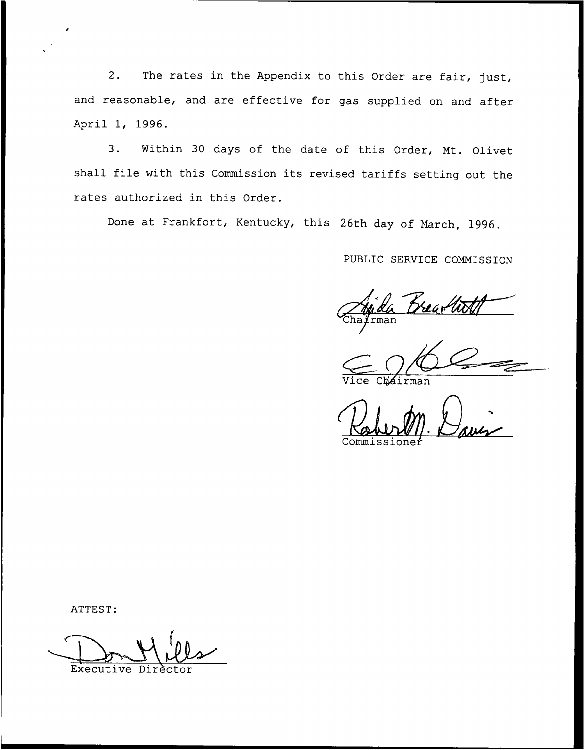2. The rates in the Appendix to this Order are fair, just, and reasonable, and are effective for gas supplied on and after April 1, 1996.

3. Within <sup>30</sup> days of the date of this Order, Mt. Olivet shall file with this Commission its revised tariffs setting out the rates authorized in this Order.

Done at Frankfort, Kentucky, this 26th day of March, 1996.

PUBLIC SERVICE COMMISSION

rman

Cháirman

Commissione

ATTEST:

Executi